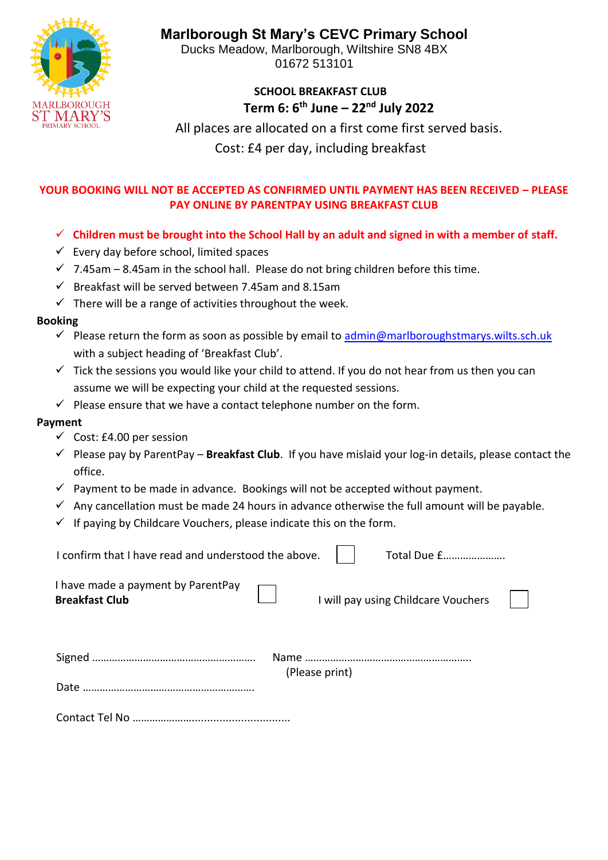**MARLBOROUGH** 

**Marlborough St Mary's CEVC Primary School**

Ducks Meadow, Marlborough, Wiltshire SN8 4BX 01672 513101

## **SCHOOL BREAKFAST CLUB Term 6: 6th June – 22nd July 2022**

 All places are allocated on a first come first served basis.

Cost: £4 per day, including breakfast

## **YOUR BOOKING WILL NOT BE ACCEPTED AS CONFIRMED UNTIL PAYMENT HAS BEEN RECEIVED – PLEASE PAY ONLINE BY PARENTPAY USING BREAKFAST CLUB**

- ✓ **Children must be brought into the School Hall by an adult and signed in with a member of staff.**
- $\checkmark$  Every day before school, limited spaces
- $\checkmark$  7.45am 8.45am in the school hall. Please do not bring children before this time.
- $\checkmark$  Breakfast will be served between 7.45am and 8.15am
- $\checkmark$  There will be a range of activities throughout the week.

## **Booking**

- $\checkmark$  Please return the form as soon as possible by email to [admin@marlboroughstmarys.wilts.sch.uk](mailto:admin@marlboroughstmarys.wilts.sch.uk) with a subject heading of 'Breakfast Club'.
- $\checkmark$  Tick the sessions you would like your child to attend. If you do not hear from us then you can assume we will be expecting your child at the requested sessions.
- $\checkmark$  Please ensure that we have a contact telephone number on the form.

## **Payment**

- $\checkmark$  Cost: £4.00 per session
- ✓ Please pay by ParentPay **Breakfast Club**. If you have mislaid your log-in details, please contact the office.
- $\checkmark$  Payment to be made in advance. Bookings will not be accepted without payment.
- $\checkmark$  Any cancellation must be made 24 hours in advance otherwise the full amount will be payable.
- $\checkmark$  If paying by Childcare Vouchers, please indicate this on the form.

| I confirm that I have read and understood the above.        | Total Due £                         |  |
|-------------------------------------------------------------|-------------------------------------|--|
| I have made a payment by ParentPay<br><b>Breakfast Club</b> | I will pay using Childcare Vouchers |  |
| Date                                                        | (Please print)                      |  |

Contact Tel No …………………................................